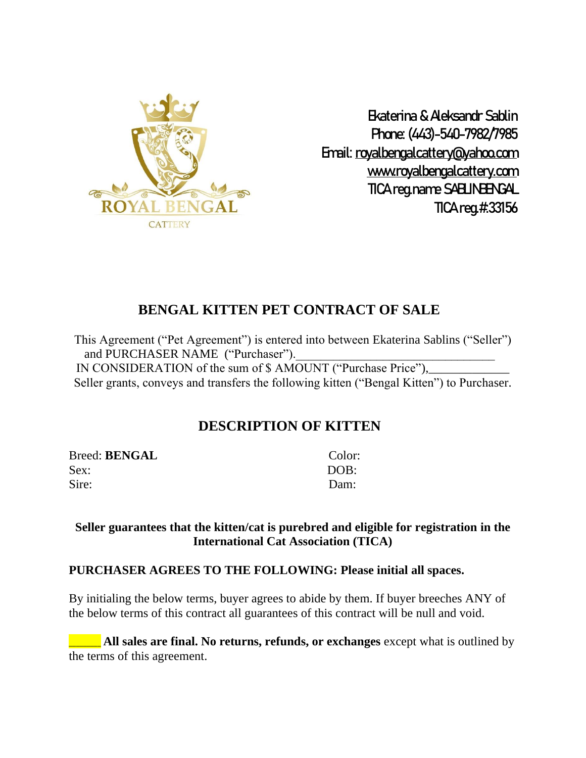

Ekaterina & Aleksandr Sablin Phone: (443)-540-7982/7985 Email: [royalbengalcattery@yahoo.com](mailto:royalbengalcattery@yahoo.com) [www.royalbengalcattery.com](http://www.royalbengalcattery.com/) TICA reg.name SABLINBENGAL TICA reg.#:33156

# **BENGAL KITTEN PET CONTRACT OF SALE**

This Agreement ("Pet Agreement") is entered into between Ekaterina Sablins ("Seller") and PURCHASER NAME ("Purchaser"). IN CONSIDERATION of the sum of \$ AMOUNT ("Purchase Price"), Seller grants, conveys and transfers the following kitten ("Bengal Kitten") to Purchaser.

# **DESCRIPTION OF KITTEN**

Breed: **BENGAL** Color: Sex: DOB: Sire: Dam:

#### **Seller guarantees that the kitten/cat is purebred and eligible for registration in the International Cat Association (TICA)**

#### **PURCHASER AGREES TO THE FOLLOWING: Please initial all spaces.**

By initialing the below terms, buyer agrees to abide by them. If buyer breeches ANY of the below terms of this contract all guarantees of this contract will be null and void.

**All sales are final. No returns, refunds, or exchanges** except what is outlined by the terms of this agreement.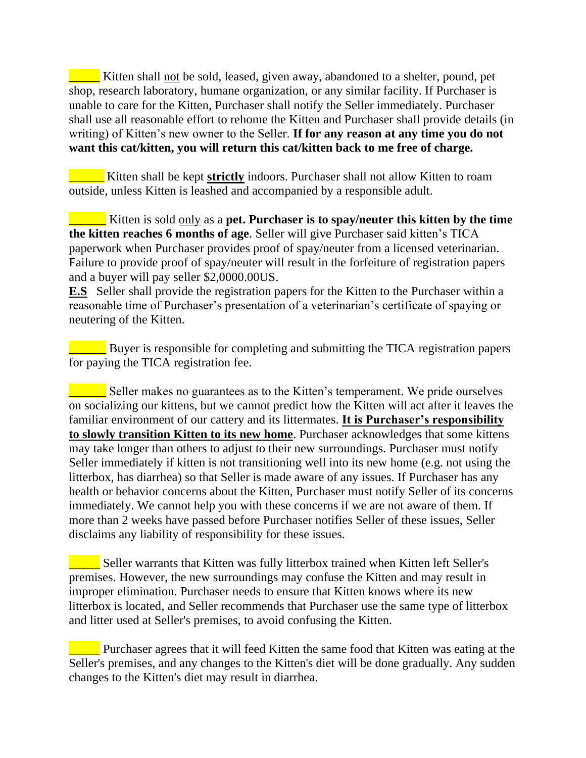Kitten shall not be sold, leased, given away, abandoned to a shelter, pound, pet shop, research laboratory, humane organization, or any similar facility. If Purchaser is unable to care for the Kitten, Purchaser shall notify the Seller immediately. Purchaser shall use all reasonable effort to rehome the Kitten and Purchaser shall provide details (in writing) of Kitten's new owner to the Seller. **If for any reason at any time you do not want this cat/kitten, you will return this cat/kitten back to me free of charge.**

\_\_\_\_\_\_\_\_\_\_ Kitten shall be kept **strictly** indoors. Purchaser shall not allow Kitten to roam outside, unless Kitten is leashed and accompanied by a responsible adult.

\_\_\_\_\_\_ Kitten is sold only as a **pet. Purchaser is to spay/neuter this kitten by the time the kitten reaches 6 months of age**. Seller will give Purchaser said kitten's TICA paperwork when Purchaser provides proof of spay/neuter from a licensed veterinarian. Failure to provide proof of spay/neuter will result in the forfeiture of registration papers and a buyer will pay seller \$2,0000.00US.

**E.S** Seller shall provide the registration papers for the Kitten to the Purchaser within a reasonable time of Purchaser's presentation of a veterinarian's certificate of spaying or neutering of the Kitten.

**EXECUTE:** Buyer is responsible for completing and submitting the TICA registration papers for paying the TICA registration fee.

 $\blacksquare$  Seller makes no guarantees as to the Kitten's temperament. We pride ourselves on socializing our kittens, but we cannot predict how the Kitten will act after it leaves the familiar environment of our cattery and its littermates. **It is Purchaser's responsibility to slowly transition Kitten to its new home**. Purchaser acknowledges that some kittens may take longer than others to adjust to their new surroundings. Purchaser must notify Seller immediately if kitten is not transitioning well into its new home (e.g. not using the litterbox, has diarrhea) so that Seller is made aware of any issues. If Purchaser has any health or behavior concerns about the Kitten, Purchaser must notify Seller of its concerns immediately. We cannot help you with these concerns if we are not aware of them. If more than 2 weeks have passed before Purchaser notifies Seller of these issues, Seller disclaims any liability of responsibility for these issues.

**Late Seller warrants that Kitten was fully litterbox trained when Kitten left Seller's** premises. However, the new surroundings may confuse the Kitten and may result in improper elimination. Purchaser needs to ensure that Kitten knows where its new litterbox is located, and Seller recommends that Purchaser use the same type of litterbox and litter used at Seller's premises, to avoid confusing the Kitten.

**The Purchaser agrees that it will feed Kitten the same food that Kitten was eating at the** Seller's premises, and any changes to the Kitten's diet will be done gradually. Any sudden changes to the Kitten's diet may result in diarrhea.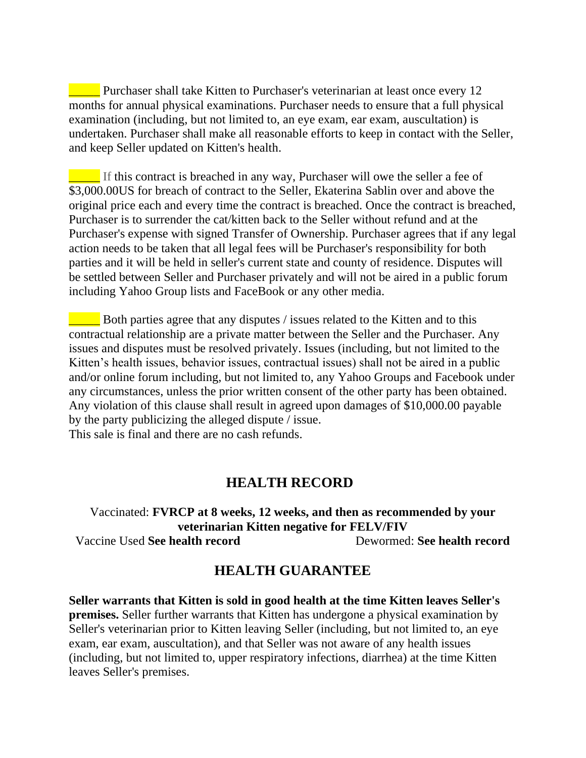**EXECUTE:** Purchaser shall take Kitten to Purchaser's veterinarian at least once every 12 months for annual physical examinations. Purchaser needs to ensure that a full physical examination (including, but not limited to, an eye exam, ear exam, auscultation) is undertaken. Purchaser shall make all reasonable efforts to keep in contact with the Seller, and keep Seller updated on Kitten's health.

**The If this contract is breached in any way, Purchaser will owe the seller a fee of** \$3,000.00US for breach of contract to the Seller, Ekaterina Sablin over and above the original price each and every time the contract is breached. Once the contract is breached, Purchaser is to surrender the cat/kitten back to the Seller without refund and at the Purchaser's expense with signed Transfer of Ownership. Purchaser agrees that if any legal action needs to be taken that all legal fees will be Purchaser's responsibility for both parties and it will be held in seller's current state and county of residence. Disputes will be settled between Seller and Purchaser privately and will not be aired in a public forum including Yahoo Group lists and FaceBook or any other media.

**EXECUTE:** Both parties agree that any disputes / issues related to the Kitten and to this contractual relationship are a private matter between the Seller and the Purchaser. Any issues and disputes must be resolved privately. Issues (including, but not limited to the Kitten's health issues, behavior issues, contractual issues) shall not be aired in a public and/or online forum including, but not limited to, any Yahoo Groups and Facebook under any circumstances, unless the prior written consent of the other party has been obtained. Any violation of this clause shall result in agreed upon damages of \$10,000.00 payable by the party publicizing the alleged dispute / issue. This sale is final and there are no cash refunds.

## **HEALTH RECORD**

Vaccinated: **FVRCP at 8 weeks, 12 weeks, and then as recommended by your veterinarian Kitten negative for FELV/FIV** Vaccine Used **See health record** Dewormed: **See health record**

### **HEALTH GUARANTEE**

**Seller warrants that Kitten is sold in good health at the time Kitten leaves Seller's premises.** Seller further warrants that Kitten has undergone a physical examination by Seller's veterinarian prior to Kitten leaving Seller (including, but not limited to, an eye exam, ear exam, auscultation), and that Seller was not aware of any health issues (including, but not limited to, upper respiratory infections, diarrhea) at the time Kitten leaves Seller's premises.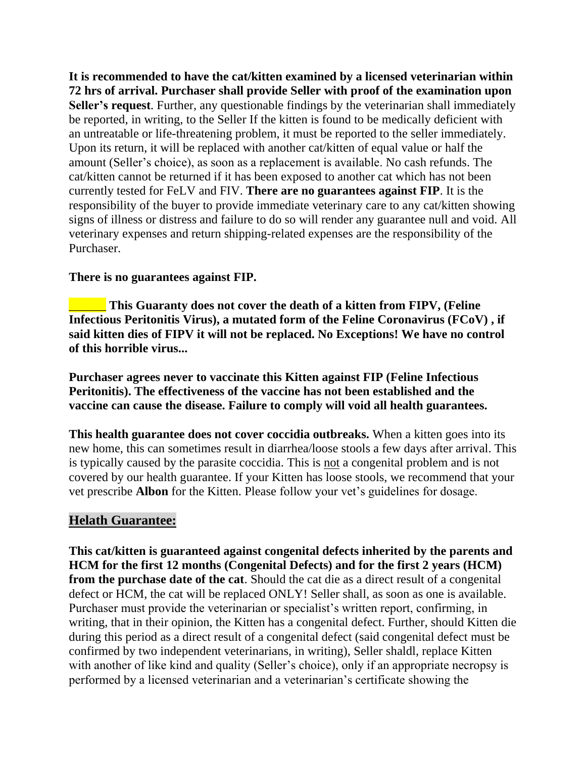**It is recommended to have the cat/kitten examined by a licensed veterinarian within 72 hrs of arrival. Purchaser shall provide Seller with proof of the examination upon Seller's request**. Further, any questionable findings by the veterinarian shall immediately be reported, in writing, to the Seller If the kitten is found to be medically deficient with an untreatable or life-threatening problem, it must be reported to the seller immediately. Upon its return, it will be replaced with another cat/kitten of equal value or half the amount (Seller's choice), as soon as a replacement is available. No cash refunds. The cat/kitten cannot be returned if it has been exposed to another cat which has not been currently tested for FeLV and FIV. **There are no guarantees against FIP**. It is the responsibility of the buyer to provide immediate veterinary care to any cat/kitten showing signs of illness or distress and failure to do so will render any guarantee null and void. All veterinary expenses and return shipping-related expenses are the responsibility of the Purchaser.

#### **There is no guarantees against FIP.**

**This Guaranty does not cover the death of a kitten from FIPV, (Feline Infectious Peritonitis Virus), a mutated form of the Feline Coronavirus (FCoV) , if said kitten dies of FIPV it will not be replaced. No Exceptions! We have no control of this horrible virus...**

**Purchaser agrees never to vaccinate this Kitten against FIP (Feline Infectious Peritonitis). The effectiveness of the vaccine has not been established and the vaccine can cause the disease. Failure to comply will void all health guarantees.**

**This health guarantee does not cover coccidia outbreaks.** When a kitten goes into its new home, this can sometimes result in diarrhea/loose stools a few days after arrival. This is typically caused by the parasite coccidia. This is not a congenital problem and is not covered by our health guarantee. If your Kitten has loose stools, we recommend that your vet prescribe **Albon** for the Kitten. Please follow your vet's guidelines for dosage.

### **Helath Guarantee:**

**This cat/kitten is guaranteed against congenital defects inherited by the parents and HCM for the first 12 months (Congenital Defects) and for the first 2 years (HCM) from the purchase date of the cat**. Should the cat die as a direct result of a congenital defect or HCM, the cat will be replaced ONLY! Seller shall, as soon as one is available. Purchaser must provide the veterinarian or specialist's written report, confirming, in writing, that in their opinion, the Kitten has a congenital defect. Further, should Kitten die during this period as a direct result of a congenital defect (said congenital defect must be confirmed by two independent veterinarians, in writing), Seller shaldl, replace Kitten with another of like kind and quality (Seller's choice), only if an appropriate necropsy is performed by a licensed veterinarian and a veterinarian's certificate showing the